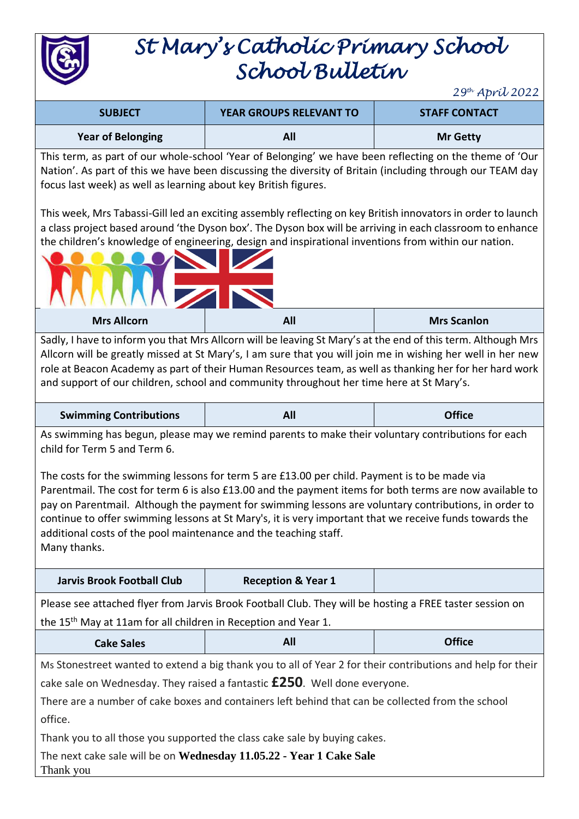

# *St Mary's Catholic Primary School School Bulletin*

*29th April 2022*

| <b>SUBJECT</b>           | <b>YEAR GROUPS RELEVANT TO</b> | <b>STAFF CONTACT</b> |
|--------------------------|--------------------------------|----------------------|
| <b>Year of Belonging</b> | All                            | <b>Mr Getty</b>      |

This term, as part of our whole-school 'Year of Belonging' we have been reflecting on the theme of 'Our Nation'. As part of this we have been discussing the diversity of Britain (including through our TEAM day focus last week) as well as learning about key British figures.

This week, Mrs Tabassi-Gill led an exciting assembly reflecting on key British innovators in order to launch a class project based around 'the Dyson box'. The Dyson box will be arriving in each classroom to enhance the children's knowledge of engineering, design and inspirational inventions from within our nation.



Sadly, I have to inform you that Mrs Allcorn will be leaving St Mary's at the end of this term. Although Mrs Allcorn will be greatly missed at St Mary's, I am sure that you will join me in wishing her well in her new role at Beacon Academy as part of their Human Resources team, as well as thanking her for her hard work and support of our children, school and community throughout her time here at St Mary's.

| <b>Swimming Contributions</b> | All | <b>Office</b> |
|-------------------------------|-----|---------------|
|                               |     |               |

As swimming has begun, please may we remind parents to make their voluntary contributions for each child for Term 5 and Term 6.

The costs for the swimming lessons for term 5 are £13.00 per child. Payment is to be made via Parentmail. The cost for term 6 is also £13.00 and the payment items for both terms are now available to pay on Parentmail. Although the payment for swimming lessons are voluntary contributions, in order to continue to offer swimming lessons at St Mary's, it is very important that we receive funds towards the additional costs of the pool maintenance and the teaching staff. Many thanks.

Please see attached flyer from Jarvis Brook Football Club. They will be hosting a FREE taster session on the 15<sup>th</sup> May at 11am for all children in Reception and Year 1.

| <b>Cake Sales</b> | <b>TIL</b> | s com<br><b>UTTICE</b> |
|-------------------|------------|------------------------|
|-------------------|------------|------------------------|

Ms Stonestreet wanted to extend a big thank you to all of Year 2 for their contributions and help for their cake sale on Wednesday. They raised a fantastic **£250**. Well done everyone.

There are a number of cake boxes and containers left behind that can be collected from the school office.

Thank you to all those you supported the class cake sale by buying cakes.

The next cake sale will be on **Wednesday 11.05.22 - Year 1 Cake Sale** Thank you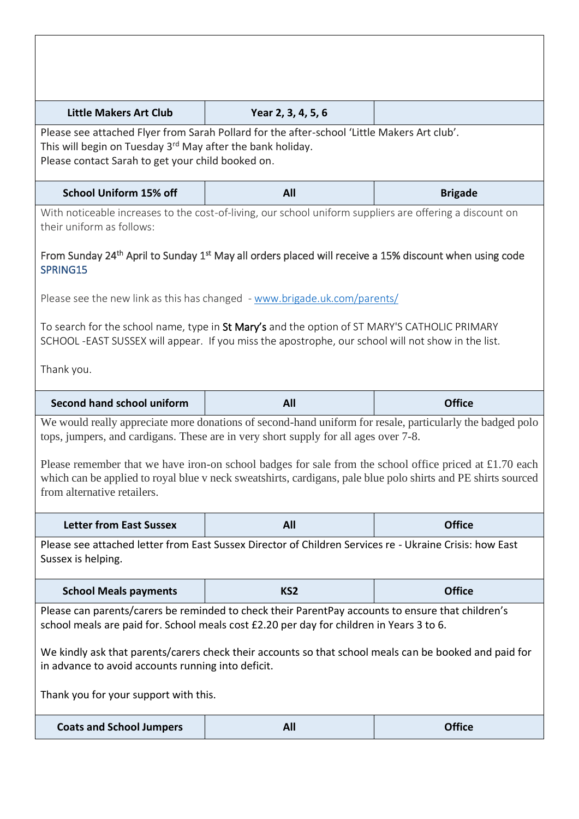| <b>Little Makers Art Club</b>                                                                                                                                                                                                                                                               | Year 2, 3, 4, 5, 6                                                                                                                                                                                                                                                                                                                                                                                                             |                |  |
|---------------------------------------------------------------------------------------------------------------------------------------------------------------------------------------------------------------------------------------------------------------------------------------------|--------------------------------------------------------------------------------------------------------------------------------------------------------------------------------------------------------------------------------------------------------------------------------------------------------------------------------------------------------------------------------------------------------------------------------|----------------|--|
| Please see attached Flyer from Sarah Pollard for the after-school 'Little Makers Art club'.<br>This will begin on Tuesday 3 <sup>rd</sup> May after the bank holiday.<br>Please contact Sarah to get your child booked on.                                                                  |                                                                                                                                                                                                                                                                                                                                                                                                                                |                |  |
| <b>School Uniform 15% off</b>                                                                                                                                                                                                                                                               | All                                                                                                                                                                                                                                                                                                                                                                                                                            | <b>Brigade</b> |  |
| With noticeable increases to the cost-of-living, our school uniform suppliers are offering a discount on<br>their uniform as follows:<br>From Sunday 24 <sup>th</sup> April to Sunday 1 <sup>st</sup> May all orders placed will receive a 15% discount when using code                     |                                                                                                                                                                                                                                                                                                                                                                                                                                |                |  |
| SPRING15<br>Please see the new link as this has changed - www.brigade.uk.com/parents/<br>To search for the school name, type in St Mary's and the option of ST MARY'S CATHOLIC PRIMARY<br>SCHOOL-EAST SUSSEX will appear. If you miss the apostrophe, our school will not show in the list. |                                                                                                                                                                                                                                                                                                                                                                                                                                |                |  |
| Thank you.                                                                                                                                                                                                                                                                                  |                                                                                                                                                                                                                                                                                                                                                                                                                                |                |  |
| <b>Second hand school uniform</b>                                                                                                                                                                                                                                                           |                                                                                                                                                                                                                                                                                                                                                                                                                                |                |  |
|                                                                                                                                                                                                                                                                                             | All                                                                                                                                                                                                                                                                                                                                                                                                                            | <b>Office</b>  |  |
| from alternative retailers.                                                                                                                                                                                                                                                                 | We would really appreciate more donations of second-hand uniform for resale, particularly the badged polo<br>tops, jumpers, and cardigans. These are in very short supply for all ages over 7-8.<br>Please remember that we have iron-on school badges for sale from the school office priced at $£1.70$ each<br>which can be applied to royal blue v neck sweatshirts, cardigans, pale blue polo shirts and PE shirts sourced |                |  |
| <b>Letter from East Sussex</b>                                                                                                                                                                                                                                                              | All                                                                                                                                                                                                                                                                                                                                                                                                                            | <b>Office</b>  |  |
| Sussex is helping.                                                                                                                                                                                                                                                                          | Please see attached letter from East Sussex Director of Children Services re - Ukraine Crisis: how East                                                                                                                                                                                                                                                                                                                        |                |  |
| <b>School Meals payments</b>                                                                                                                                                                                                                                                                | KS <sub>2</sub>                                                                                                                                                                                                                                                                                                                                                                                                                | <b>Office</b>  |  |
| in advance to avoid accounts running into deficit.<br>Thank you for your support with this.<br><b>Coats and School Jumpers</b>                                                                                                                                                              | Please can parents/carers be reminded to check their ParentPay accounts to ensure that children's<br>school meals are paid for. School meals cost £2.20 per day for children in Years 3 to 6.<br>We kindly ask that parents/carers check their accounts so that school meals can be booked and paid for                                                                                                                        | <b>Office</b>  |  |

I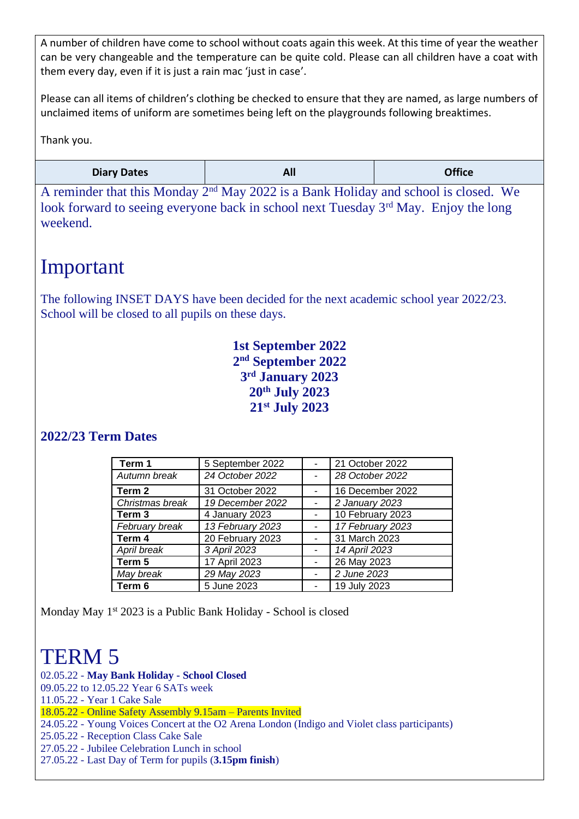A number of children have come to school without coats again this week. At this time of year the weather can be very changeable and the temperature can be quite cold. Please can all children have a coat with them every day, even if it is just a rain mac 'just in case'.

Please can all items of children's clothing be checked to ensure that they are named, as large numbers of unclaimed items of uniform are sometimes being left on the playgrounds following breaktimes.

Thank you.

| <b>Diary Dates</b> | All | <b>Office</b> |
|--------------------|-----|---------------|
|--------------------|-----|---------------|

A reminder that this Monday 2nd May 2022 is a Bank Holiday and school is closed. We look forward to seeing everyone back in school next Tuesday 3<sup>rd</sup> May. Enjoy the long weekend.

#### Important

The following INSET DAYS have been decided for the next academic school year 2022/23. School will be closed to all pupils on these days.

> **1st September 2022 nd September 2022 rd January 2023 th July 2023 st July 2023**

#### **2022/23 Term Dates**

| Term 1            | 5 September 2022 | 21 October 2022  |
|-------------------|------------------|------------------|
| Autumn break      | 24 October 2022  | 28 October 2022  |
| Term 2            | 31 October 2022  | 16 December 2022 |
| Christmas break   | 19 December 2022 | 2 January 2023   |
| Term <sub>3</sub> | 4 January 2023   | 10 February 2023 |
| February break    | 13 February 2023 | 17 February 2023 |
| Term 4            | 20 February 2023 | 31 March 2023    |
| April break       | 3 April 2023     | 14 April 2023    |
| Term 5            | 17 April 2023    | 26 May 2023      |
| May break         | 29 May 2023      | 2 June 2023      |
| Term 6            | 5 June 2023      | 19 July 2023     |

Monday May 1<sup>st</sup> 2023 is a Public Bank Holiday - School is closed

## TERM 5

02.05.22 - **May Bank Holiday - School Closed**

09.05.22 to 12.05.22 Year 6 SATs week

11.05.22 - Year 1 Cake Sale

18.05.22 - Online Safety Assembly 9.15am – Parents Invited

24.05.22 - Young Voices Concert at the O2 Arena London (Indigo and Violet class participants)

25.05.22 - Reception Class Cake Sale

27.05.22 - Jubilee Celebration Lunch in school

27.05.22 - Last Day of Term for pupils (**3.15pm finish**)